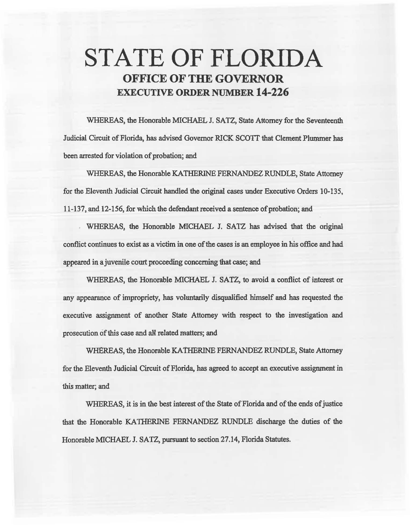# STATE OF FLORIDA OFFICE OF THE GOVERNOR EXECUTIVE ORDER NUMBER 14-226

WHEREAS, the Honorable MICHAEL J. SATZ, State Attorney for the Seventeenth Judicial Circuit of Florida, has advised Governor RICK SCOTI that Clement Plummer has been arrested for violation of probation; and

WHEREAS, the Honorable KATHERINE FERNANDEZ RUNDLE, State Attorney for the Eleventh Judicial Circuit handled the original cases under Executive Orders 10-135, 11-137, and 12-156, for which the defendant received a sentence of probation; and

WHEREAS, the Honorable MICHAEL J. SATZ has advised that the original conflict continues to exist as a victim in one of the cases is an employee in his office and had appeared in a juvenile court proceeding concerning that case; and

WHEREAS, the Honorable MICHAEL J. SATZ, to avoid a conflict of interest or any appearance of impropriety, has voluntarily disqualified himself and has requested the executive assignment of another State Attorney with respect to the investigation and prosecution of this case and all related matters; and

WHEREAS, the Honorable KATHERINE FERNANDEZ RUNDLE, State Attorney for the Eleventh Judicial Circuit of Florida, has agreed to accept an executive assignment in this matter; and

WHEREAS, it is in the best interest of the State of Florida and of the ends of justice that the Honorable KATIIERINE FERNANDEZ RUNDLE discharge the duties of the Honorable MICHAEL J. SATZ, pursuant to section 27.14, Florida Statutes.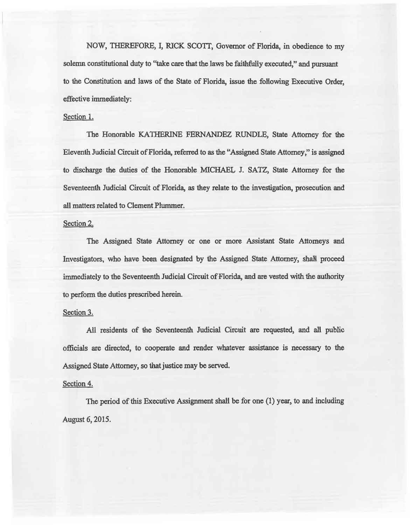NOW, THEREFORE, I, RICK SCOTT, Governor of Florida, in obedience to my solemn constitutional duty to "take care that the laws be faithfully executed," and pursuant to the Constitution and laws of the State of Florida, issue the following Executive Order, effective immediately:

#### Section I.

The Honorable KATHERINE FERNANDEZ RUNDLE, State Attorney for the Eleventh Judicial Circuit of Florida, referred to as the "Assigned State Attorney," is assigned to discharge the duties of the Hoaorable MICHAEL J. SATZ, State Attorney for the Seventeenth Judicial Circuit of Florida, as they relate to the investigation, prosecution and all matters related to Clement Plummer.

### Section 2.

The Assigned State Attorney or one or more Assistant State Attorneys and Investigators, who have been designated by the Assigned State Attorney, shall proceed immediately to the Seventeenth Judicial Circuit of Florida, and are vested with the authority to perfonn the duties prescribed herein.

## Section 3.

All residents of the Seventeenth Judicial Circuit are requested, and all public officials are directed, to cooperate and render whatever assistance is necessary to the Assigned State Attorney, so that justice may be served.

#### Section 4.

The period of this Executive Assignment shall be for one (1) year, to and including August 6, 2015.